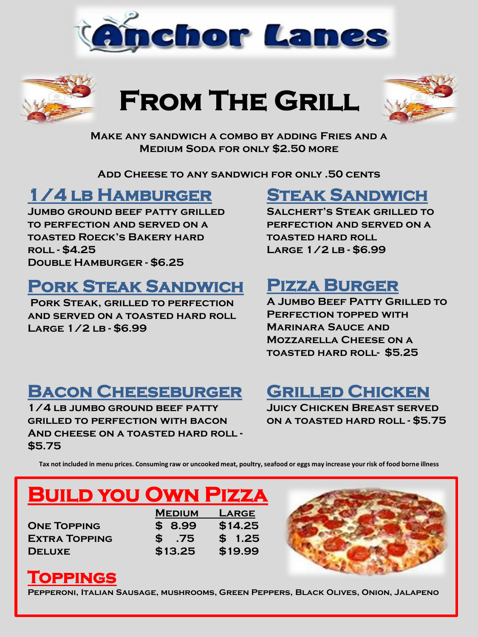



# **From The Grill**



**Make any sandwich a combo by adding Fries and a Medium Soda for only \$2.50 more**

**Add Cheese to any sandwich for only .50 cents**

### **1/4 lb Hamburger**

**Jumbo ground beef patty grilled to perfection and served on a toasted Roeck's Bakery hard roll - \$4.25 Double Hamburger - \$6.25**

### **Pork Steak Sandwich**

**Pork Steak, grilled to perfection and served on a toasted hard roll Large 1/2 lb - \$6.99**

### **Steak Sandwich**

**Salchert's Steak grilled to perfection and served on a toasted hard roll Large 1/2 lb - \$6.99**

### **Pizza Burger**

**A Jumbo Beef Patty Grilled to Perfection topped with Marinara Sauce and Mozzarella Cheese on a toasted hard roll- \$5.25**

### **Bacon Cheeseburger**

**1/4 lb jumbo ground beef patty grilled to perfection with bacon And cheese on a toasted hard roll - \$5.75**

### **Grilled Chicken**

**Juicy Chicken Breast served on a toasted hard roll - \$5.75**

**Tax not included in menu prices. Consuming raw or uncooked meat, poultry, seafood or eggs may increase your risk of food borne illness**

# **Build you Own Pizza**

**Medium Large One Topping \$ 8.99 \$14.25 Extra Topping \$ .75 \$ 1.25 Deluxe \$13.25 \$19.99**



### **Toppings**

**Pepperoni, Italian Sausage, mushrooms, Green Peppers, Black Olives, Onion, Jalapeno**